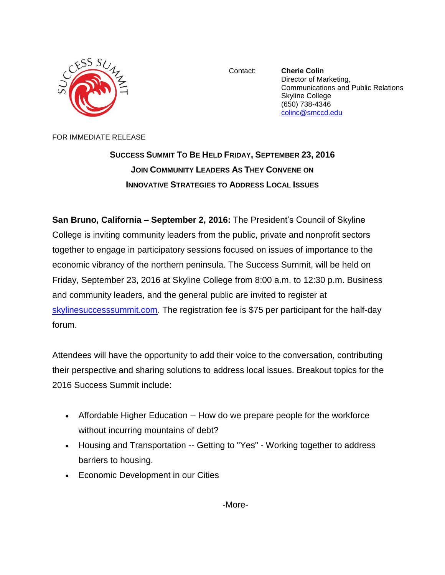

Contact: **Cherie Colin** Director of Marketing, Communications and Public Relations Skyline College (650) 738-4346 [colinc@smccd.edu](mailto:colinc@smccd.edu)

FOR IMMEDIATE RELEASE

**SUCCESS SUMMIT TO BE HELD FRIDAY, SEPTEMBER 23, 2016 JOIN COMMUNITY LEADERS AS THEY CONVENE ON INNOVATIVE STRATEGIES TO ADDRESS LOCAL ISSUES**

**San Bruno, California – September 2, 2016:** The President's Council of Skyline College is inviting community leaders from the public, private and nonprofit sectors together to engage in participatory sessions focused on issues of importance to the economic vibrancy of the northern peninsula. The Success Summit, will be held on Friday, September 23, 2016 at Skyline College from 8:00 a.m. to 12:30 p.m. Business and community leaders, and the general public are invited to register at [skylinesuccesssummit.com.](http://www.skylinesuccesssummit.com/) The registration fee is \$75 per participant for the half-day forum.

Attendees will have the opportunity to add their voice to the conversation, contributing their perspective and sharing solutions to address local issues. Breakout topics for the 2016 Success Summit include:

- Affordable Higher Education -- How do we prepare people for the workforce without incurring mountains of debt?
- Housing and Transportation -- Getting to "Yes" Working together to address barriers to housing.
- Economic Development in our Cities

-More-